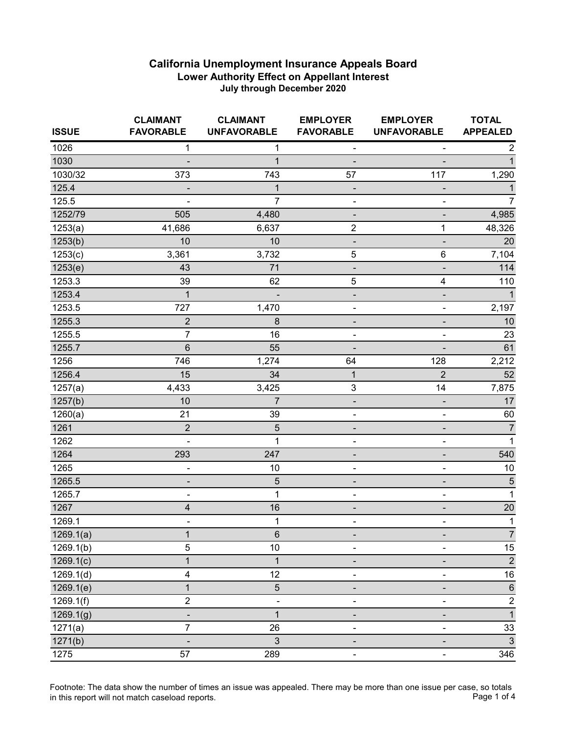| <b>ISSUE</b> | <b>CLAIMANT</b><br><b>FAVORABLE</b> | <b>CLAIMANT</b><br><b>UNFAVORABLE</b> | <b>EMPLOYER</b><br><b>FAVORABLE</b> | <b>EMPLOYER</b><br><b>UNFAVORABLE</b> | <b>TOTAL</b><br><b>APPEALED</b> |
|--------------|-------------------------------------|---------------------------------------|-------------------------------------|---------------------------------------|---------------------------------|
| 1026         | 1                                   | 1                                     | $\qquad \qquad \blacksquare$        | ٠                                     | 2                               |
| 1030         |                                     | $\mathbf{1}$                          |                                     | $\overline{\phantom{a}}$              | 1                               |
| 1030/32      | 373                                 | 743                                   | 57                                  | 117                                   | 1,290                           |
| 125.4        |                                     | $\mathbf{1}$                          |                                     |                                       | 1                               |
| 125.5        |                                     | $\overline{7}$                        |                                     | -                                     | 7                               |
| 1252/79      | 505                                 | 4,480                                 |                                     | -                                     | 4,985                           |
| 1253(a)      | 41,686                              | 6,637                                 | $\overline{2}$                      | 1                                     | 48,326                          |
| 1253(b)      | 10                                  | 10                                    |                                     | $\qquad \qquad \blacksquare$          | 20                              |
| 1253(c)      | 3,361                               | 3,732                                 | $\mathbf 5$                         | 6                                     | 7,104                           |
| 1253(e)      | 43                                  | 71                                    |                                     | -                                     | 114                             |
| 1253.3       | 39                                  | 62                                    | 5                                   | 4                                     | 110                             |
| 1253.4       | 1                                   | $\qquad \qquad \blacksquare$          | $\qquad \qquad \blacksquare$        | $\qquad \qquad \blacksquare$          | 1                               |
| 1253.5       | 727                                 | 1,470                                 |                                     | ۰                                     | 2,197                           |
| 1255.3       | $\overline{2}$                      | 8                                     |                                     | -                                     | $10$                            |
| 1255.5       | $\overline{7}$                      | 16                                    |                                     | -                                     | 23                              |
| 1255.7       | 6                                   | 55                                    |                                     |                                       | 61                              |
| 1256         | 746                                 | 1,274                                 | 64                                  | 128                                   | 2,212                           |
| 1256.4       | 15                                  | 34                                    | $\mathbf{1}$                        | $\overline{2}$                        | 52                              |
| 1257(a)      | 4,433                               | 3,425                                 | 3                                   | 14                                    | 7,875                           |
| 1257(b)      | 10                                  | $\overline{7}$                        |                                     |                                       | 17                              |
| 1260(a)      | 21                                  | 39                                    | ÷,                                  | $\blacksquare$                        | 60                              |
| 1261         | $\overline{2}$                      | $\sqrt{5}$                            | -                                   | $\overline{\phantom{a}}$              | $\overline{7}$                  |
| 1262         | $\overline{a}$                      | $\mathbf{1}$                          | ۰                                   | $\blacksquare$                        | $\mathbf{1}$                    |
| 1264         | 293                                 | 247                                   |                                     | -                                     | 540                             |
| 1265         | ۰                                   | 10                                    |                                     | -                                     | 10                              |
| 1265.5       | -                                   | $\sqrt{5}$                            |                                     | $\overline{\phantom{a}}$              | $\sqrt{5}$                      |
| 1265.7       | -                                   | 1                                     | ۰                                   | $\qquad \qquad \blacksquare$          | 1                               |
| 1267         | 4                                   | 16                                    |                                     | $\overline{\phantom{a}}$              | 20                              |
| 1269.1       | -                                   | $\mathbf 1$                           |                                     | ۰                                     | $\mathbf{1}$                    |
| 1269.1(a)    | $\mathbf{1}$                        | 6                                     |                                     |                                       | $\overline{7}$                  |
| 1269.1(b)    | 5                                   | 10                                    |                                     |                                       | 15                              |
| 1269.1(c)    | 1                                   | 1                                     |                                     |                                       | $\sqrt{2}$                      |
| 1269.1(d)    | 4                                   | 12                                    |                                     |                                       | 16                              |
| 1269.1(e)    | $\mathbf{1}$                        | 5                                     |                                     |                                       | $\,6$                           |
| 1269.1(f)    | $\overline{2}$                      |                                       |                                     |                                       | $\sqrt{2}$                      |
| 1269.1(g)    |                                     | $\overline{1}$                        |                                     |                                       | $\overline{1}$                  |
| 1271(a)      | 7                                   | 26                                    |                                     |                                       | 33                              |
| 1271(b)      |                                     | 3                                     |                                     |                                       | $\mathbf{3}$                    |
| 1275         | 57                                  | 289                                   |                                     | ۰                                     | 346                             |

Footnote: The data show the number of times an issue was appealed. There may be more than one issue per case, so totals<br>Page 1 of 4 in this report will not match caseload reports.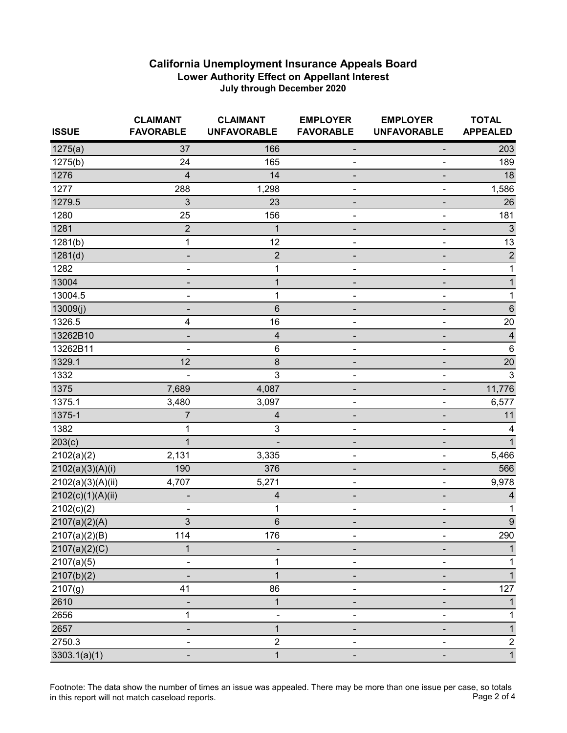| <b>ISSUE</b>      | <b>CLAIMANT</b><br><b>FAVORABLE</b> | <b>CLAIMANT</b><br><b>UNFAVORABLE</b> | <b>EMPLOYER</b><br><b>FAVORABLE</b> | <b>EMPLOYER</b><br><b>UNFAVORABLE</b> | <b>TOTAL</b><br><b>APPEALED</b> |
|-------------------|-------------------------------------|---------------------------------------|-------------------------------------|---------------------------------------|---------------------------------|
| 1275(a)           | 37                                  | 166                                   |                                     |                                       | 203                             |
| 1275(b)           | 24                                  | 165                                   |                                     |                                       | 189                             |
| 1276              | 4                                   | 14                                    |                                     |                                       | 18                              |
| 1277              | 288                                 | 1,298                                 |                                     |                                       | 1,586                           |
| 1279.5            | 3                                   | 23                                    |                                     |                                       | 26                              |
| 1280              | 25                                  | 156                                   |                                     |                                       | 181                             |
| 1281              | $\overline{2}$                      | 1                                     |                                     |                                       | $\sqrt{3}$                      |
| 1281(b)           | 1                                   | 12                                    |                                     | $\blacksquare$                        | 13                              |
| 1281(d)           | -                                   | $\overline{c}$                        | -                                   |                                       | $\sqrt{2}$                      |
| 1282              | -                                   | 1                                     | ۰                                   | $\qquad \qquad \blacksquare$          | $\mathbf 1$                     |
| 13004             | ۰                                   | $\mathbf{1}$                          |                                     |                                       | $\mathbf 1$                     |
| 13004.5           |                                     | 1                                     |                                     |                                       | $\mathbf 1$                     |
| 13009(j)          |                                     | 6                                     |                                     |                                       | $\,6$                           |
| 1326.5            | 4                                   | 16                                    | ۰                                   |                                       | 20                              |
| 13262B10          | -                                   | 4                                     |                                     |                                       | $\overline{\mathbf{4}}$         |
| 13262B11          |                                     | $\,6$                                 | ۰                                   |                                       | $\,6$                           |
| 1329.1            | 12                                  | 8                                     |                                     |                                       | 20                              |
| 1332              |                                     | 3                                     | ۰                                   | $\overline{a}$                        | 3                               |
| 1375              | 7,689                               | 4,087                                 |                                     |                                       | 11,776                          |
| 1375.1            | 3,480                               | 3,097                                 | -                                   | $\blacksquare$                        | 6,577                           |
| 1375-1            | 7                                   | 4                                     |                                     |                                       | 11                              |
| 1382              | 1                                   | 3                                     |                                     |                                       | 4                               |
| 203(c)            | $\mathbf{1}$                        |                                       |                                     |                                       | $\mathbf{1}$                    |
| 2102(a)(2)        | 2,131                               | 3,335                                 | -                                   | $\qquad \qquad \blacksquare$          | 5,466                           |
| 2102(a)(3)(A)(i)  | 190                                 | 376                                   | ۰                                   |                                       | 566                             |
| 2102(a)(3)(A)(ii) | 4,707                               | 5,271                                 | ۰                                   | ۰                                     | 9,978                           |
| 2102(c)(1)(A)(ii) |                                     | 4                                     |                                     |                                       | 4                               |
| 2102(c)(2)        |                                     | 1                                     |                                     |                                       | 1                               |
| 2107(a)(2)(A)     | $\mathbf{3}$                        | $\,6$                                 |                                     |                                       | $\boldsymbol{9}$                |
| 2107(a)(2)(B)     | 114                                 | 176                                   | ۰                                   |                                       | 290                             |
| 2107(a)(2)(C)     | $\mathbf 1$                         |                                       |                                     |                                       |                                 |
| 2107(a)(5)        | -                                   | 1                                     |                                     |                                       | 1                               |
| 2107(b)(2)        |                                     | $\overline{1}$                        |                                     |                                       | 1                               |
| 2107(g)           | 41                                  | 86                                    | -                                   | $\blacksquare$                        | 127                             |
| 2610              |                                     | $\mathbf{1}$                          |                                     |                                       | 1                               |
| 2656              | 1                                   | ٠                                     |                                     |                                       | 1                               |
| 2657              | -                                   | $\mathbf{1}$                          |                                     |                                       | 1                               |
| 2750.3            | -                                   | $\overline{2}$                        | -                                   |                                       | $\boldsymbol{2}$                |
| 3303.1(a)(1)      | -                                   | $\mathbf{1}$                          | $\overline{\phantom{0}}$            | $\qquad \qquad \blacksquare$          | $\mathbf{1}$                    |

Footnote: The data show the number of times an issue was appealed. There may be more than one issue per case, so totals<br>Page 2 of 4 in this report will not match caseload reports.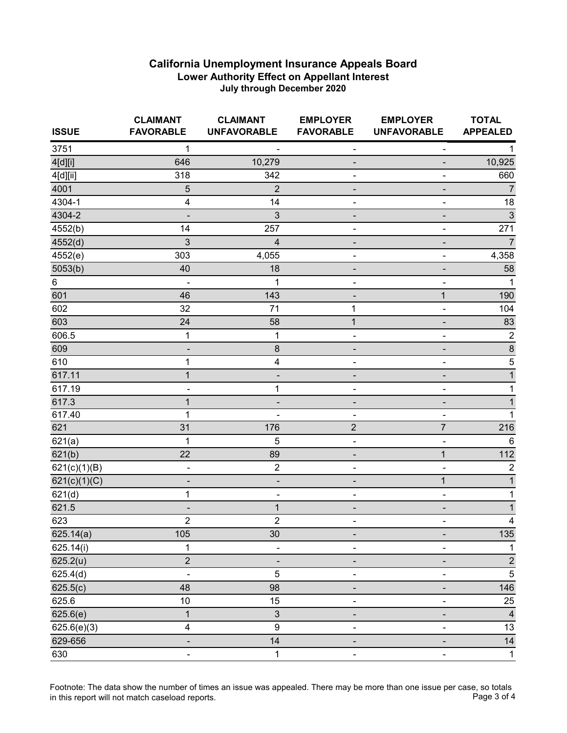| <b>ISSUE</b>    | <b>CLAIMANT</b><br><b>FAVORABLE</b> | <b>CLAIMANT</b><br><b>UNFAVORABLE</b> | <b>EMPLOYER</b><br><b>FAVORABLE</b> | <b>EMPLOYER</b><br><b>UNFAVORABLE</b> | <b>TOTAL</b><br><b>APPEALED</b> |
|-----------------|-------------------------------------|---------------------------------------|-------------------------------------|---------------------------------------|---------------------------------|
| 3751            | 1                                   |                                       | -                                   | $\qquad \qquad \blacksquare$          |                                 |
| 4[d][i]         | 646                                 | 10,279                                |                                     |                                       | 10,925                          |
| 4[d][ii]        | 318                                 | 342                                   |                                     | $\blacksquare$                        | 660                             |
| 4001            | 5                                   | $\overline{2}$                        |                                     | -                                     | $\overline{7}$                  |
| 4304-1          | 4                                   | 14                                    | -                                   | $\overline{\phantom{0}}$              | 18                              |
| 4304-2          | -                                   | 3                                     |                                     | -                                     | $\sqrt{3}$                      |
| 4552(b)         | 14                                  | 257                                   |                                     | $\blacksquare$                        | 271                             |
| 4552(d)         | 3                                   | $\overline{\mathbf{4}}$               |                                     | ٠                                     | $\overline{7}$                  |
| 4552(e)         | 303                                 | 4,055                                 | ۰                                   | $\qquad \qquad \blacksquare$          | 4,358                           |
| 5053(b)         | 40                                  | 18                                    |                                     | -                                     | 58                              |
| $6\phantom{.}6$ |                                     | 1                                     |                                     | ۰                                     | 1                               |
| 601             | 46                                  | 143                                   |                                     | $\mathbf{1}$                          | 190                             |
| 602             | 32                                  | 71                                    | $\mathbf 1$                         | $\blacksquare$                        | 104                             |
| 603             | 24                                  | 58                                    | 1                                   | -                                     | 83                              |
| 606.5           | 1                                   | 1                                     | ٠                                   | $\qquad \qquad \blacksquare$          | $\overline{2}$                  |
| 609             | -                                   | $\bf 8$                               |                                     | -                                     | $\overline{8}$                  |
| 610             | 1                                   | 4                                     |                                     |                                       | $\overline{5}$                  |
| 617.11          | $\mathbf{1}$                        |                                       |                                     |                                       | $\mathbf 1$                     |
| 617.19          | ۰                                   | 1                                     |                                     | -                                     | 1                               |
| 617.3           | $\mathbf{1}$                        |                                       |                                     |                                       |                                 |
| 617.40          | 1                                   |                                       |                                     | $\blacksquare$                        |                                 |
| 621             | 31                                  | 176                                   | $\overline{2}$                      | $\overline{7}$                        | 216                             |
| 621(a)          | $\mathbf{1}$                        | 5                                     | ۰                                   | ۰                                     | $\,6\,$                         |
| 621(b)          | 22                                  | 89                                    |                                     | $\overline{1}$                        | 112                             |
| 621(c)(1)(B)    | -                                   | $\overline{2}$                        |                                     | ä,                                    | $\overline{2}$                  |
| 621(c)(1)(C)    | -                                   | ٠                                     |                                     | 1                                     | 1                               |
| 621(d)          | 1                                   | $\overline{\phantom{0}}$              | ۰                                   | $\blacksquare$                        | 1                               |
| 621.5           | $\qquad \qquad \blacksquare$        | $\mathbf{1}$                          |                                     | $\overline{\phantom{a}}$              | 1                               |
| 623             | $\overline{c}$                      | $\overline{2}$                        | ۰                                   | $\blacksquare$                        | $\overline{\mathbf{4}}$         |
| 625.14(a)       | 105                                 | 30                                    |                                     |                                       | 135                             |
| 625.14(i)       | 1                                   |                                       |                                     |                                       | 1                               |
| 625.2(u)        | $\overline{2}$                      |                                       |                                     | -                                     | $\sqrt{2}$                      |
| 625.4(d)        | ÷,                                  | 5                                     |                                     | $\blacksquare$                        | $\sqrt{5}$                      |
| 625.5(c)        | 48                                  | 98                                    |                                     | $\overline{\phantom{a}}$              | 146                             |
| 625.6           | 10                                  | 15                                    |                                     | $\overline{\phantom{0}}$              | 25                              |
| 625.6(e)        | $\mathbf{1}$                        | $\ensuremath{\mathsf{3}}$             |                                     |                                       | $\overline{4}$                  |
| 625.6(e)(3)     | 4                                   | $\boldsymbol{9}$                      |                                     | $\overline{\phantom{a}}$              | $13\,$                          |
| 629-656         | -                                   | 14                                    |                                     | -                                     | $14\,$                          |
| 630             | $\blacksquare$                      | $\mathbf 1$                           | $\overline{\phantom{0}}$            | $\blacksquare$                        | $\mathbf 1$                     |

Footnote: The data show the number of times an issue was appealed. There may be more than one issue per case, so totals<br>Page 3 of 4 in this report will not match caseload reports.